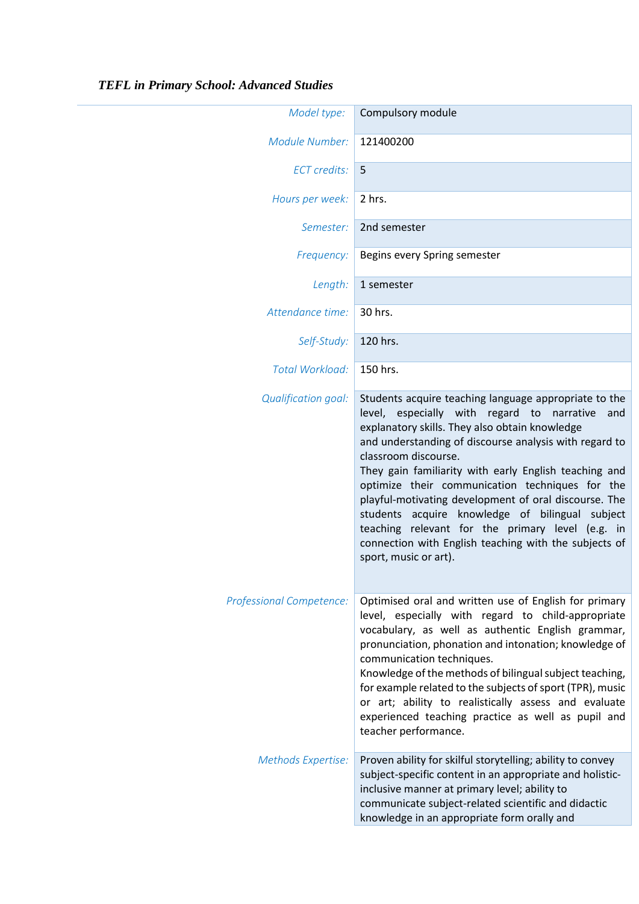| Model type:                     | Compulsory module                                                                                                                                                                                                                                                                                                                                                                                                                                                                                                                                                                                            |
|---------------------------------|--------------------------------------------------------------------------------------------------------------------------------------------------------------------------------------------------------------------------------------------------------------------------------------------------------------------------------------------------------------------------------------------------------------------------------------------------------------------------------------------------------------------------------------------------------------------------------------------------------------|
| <b>Module Number:</b>           | 121400200                                                                                                                                                                                                                                                                                                                                                                                                                                                                                                                                                                                                    |
| <b>ECT</b> credits:             | 5                                                                                                                                                                                                                                                                                                                                                                                                                                                                                                                                                                                                            |
| Hours per week:                 | 2 hrs.                                                                                                                                                                                                                                                                                                                                                                                                                                                                                                                                                                                                       |
| Semester:                       | 2nd semester                                                                                                                                                                                                                                                                                                                                                                                                                                                                                                                                                                                                 |
| Frequency:                      | Begins every Spring semester                                                                                                                                                                                                                                                                                                                                                                                                                                                                                                                                                                                 |
| Length:                         | 1 semester                                                                                                                                                                                                                                                                                                                                                                                                                                                                                                                                                                                                   |
| Attendance time:                | 30 hrs.                                                                                                                                                                                                                                                                                                                                                                                                                                                                                                                                                                                                      |
| Self-Study:                     | 120 hrs.                                                                                                                                                                                                                                                                                                                                                                                                                                                                                                                                                                                                     |
| Total Workload:                 | 150 hrs.                                                                                                                                                                                                                                                                                                                                                                                                                                                                                                                                                                                                     |
| <b>Qualification goal:</b>      | Students acquire teaching language appropriate to the<br>level, especially with regard to narrative<br>and<br>explanatory skills. They also obtain knowledge<br>and understanding of discourse analysis with regard to<br>classroom discourse.<br>They gain familiarity with early English teaching and<br>optimize their communication techniques for the<br>playful-motivating development of oral discourse. The<br>students acquire knowledge of bilingual subject<br>teaching relevant for the primary level (e.g. in<br>connection with English teaching with the subjects of<br>sport, music or art). |
| <b>Professional Competence:</b> | Optimised oral and written use of English for primary<br>level, especially with regard to child-appropriate<br>vocabulary, as well as authentic English grammar,<br>pronunciation, phonation and intonation; knowledge of<br>communication techniques.<br>Knowledge of the methods of bilingual subject teaching,<br>for example related to the subjects of sport (TPR), music<br>or art; ability to realistically assess and evaluate<br>experienced teaching practice as well as pupil and<br>teacher performance.                                                                                         |
| Methods Expertise:              | Proven ability for skilful storytelling; ability to convey<br>subject-specific content in an appropriate and holistic-<br>inclusive manner at primary level; ability to<br>communicate subject-related scientific and didactic<br>knowledge in an appropriate form orally and                                                                                                                                                                                                                                                                                                                                |

## *TEFL in Primary School: Advanced Studies*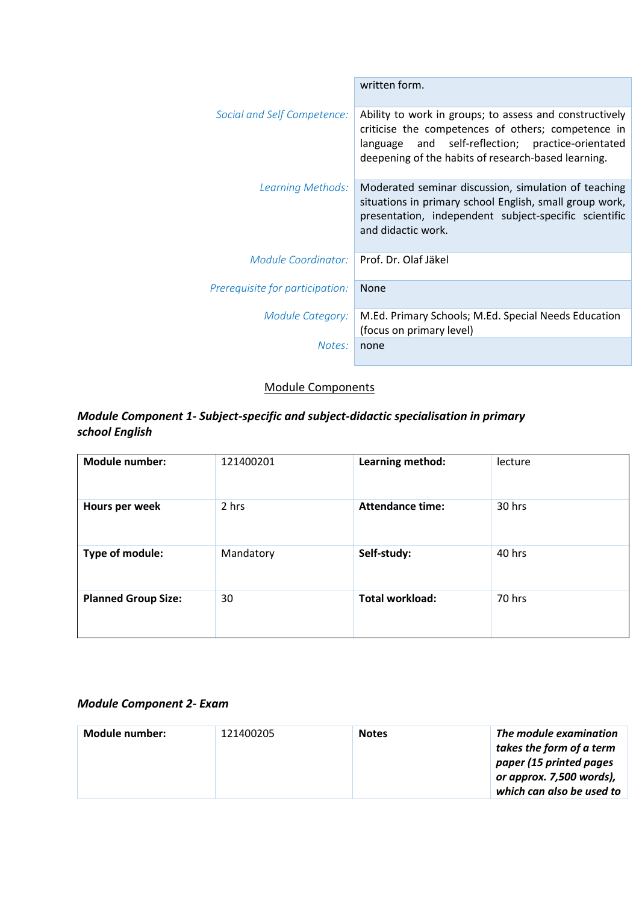|                                 | written form.                                                                                                                                                                                                                |
|---------------------------------|------------------------------------------------------------------------------------------------------------------------------------------------------------------------------------------------------------------------------|
| Social and Self Competence:     | Ability to work in groups; to assess and constructively<br>criticise the competences of others; competence in<br>and self-reflection; practice-orientated<br>language<br>deepening of the habits of research-based learning. |
| Learning Methods:               | Moderated seminar discussion, simulation of teaching<br>situations in primary school English, small group work,<br>presentation, independent subject-specific scientific<br>and didactic work.                               |
| Module Coordinator:             | Prof. Dr. Olaf Jäkel                                                                                                                                                                                                         |
| Prerequisite for participation: | <b>None</b>                                                                                                                                                                                                                  |
| Module Category:                | M.Ed. Primary Schools; M.Ed. Special Needs Education<br>(focus on primary level)                                                                                                                                             |
| Notes:                          | none                                                                                                                                                                                                                         |

## Module Components

## *Module Component 1- Subject-specific and subject-didactic specialisation in primary school English*

| <b>Module number:</b>      | 121400201 | Learning method:        | lecture |
|----------------------------|-----------|-------------------------|---------|
| Hours per week             | 2 hrs     | <b>Attendance time:</b> | 30 hrs  |
| Type of module:            | Mandatory | Self-study:             | 40 hrs  |
| <b>Planned Group Size:</b> | 30        | <b>Total workload:</b>  | 70 hrs  |

## *Module Component 2- Exam*

| Module number: | 121400205 | <b>Notes</b> | The module examination<br>takes the form of a term<br>paper (15 printed pages<br>or approx. 7,500 words),<br>which can also be used to |
|----------------|-----------|--------------|----------------------------------------------------------------------------------------------------------------------------------------|
|----------------|-----------|--------------|----------------------------------------------------------------------------------------------------------------------------------------|